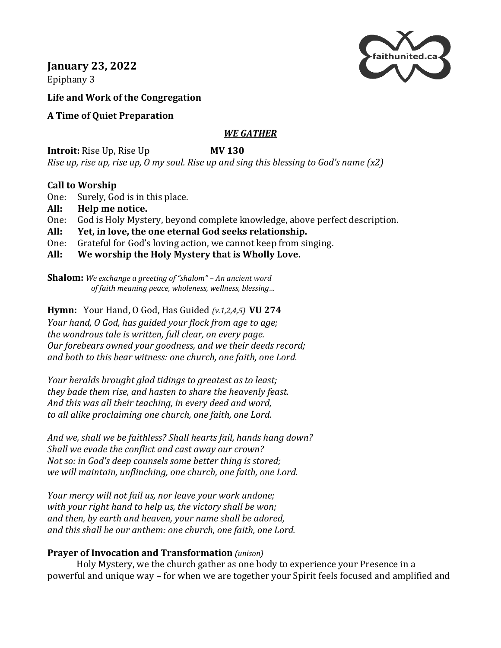**January 23, 2022**

Epiphany 3



**Life and Work of the Congregation**

**A Time of Quiet Preparation**

# *WE GATHER*

**Introit:** Rise Up, Rise Up **MV 130** *Rise up, rise up, rise up, O my soul. Rise up and sing this blessing to God's name (x2)*

## **Call to Worship**

One: Surely, God is in this place.

- **All: Help me notice.**
- One: God is Holy Mystery, beyond complete knowledge, above perfect description.
- **All: Yet, in love, the one eternal God seeks relationship.**
- One: Grateful for God's loving action, we cannot keep from singing.

**All: We worship the Holy Mystery that is Wholly Love.**

**Shalom:** *We exchange a greeting of "shalom" – An ancient word of faith meaning peace, wholeness, wellness, blessing…*

**Hymn:** Your Hand, O God, Has Guided *(v.1,2,4,5)* **VU 274** *Your hand, O God, has guided your flock from age to age; the wondrous tale is written, full clear, on every page. Our forebears owned your goodness, and we their deeds record; and both to this bear witness: one church, one faith, one Lord.*

*Your heralds brought glad tidings to greatest as to least; they bade them rise, and hasten to share the heavenly feast. And this was all their teaching, in every deed and word, to all alike proclaiming one church, one faith, one Lord.*

*And we, shall we be faithless? Shall hearts fail, hands hang down? Shall we evade the conflict and cast away our crown? Not so: in God's deep counsels some better thing is stored; we will maintain, unflinching, one church, one faith, one Lord.*

*Your mercy will not fail us, nor leave your work undone; with your right hand to help us, the victory shall be won; and then, by earth and heaven, your name shall be adored, and this shall be our anthem: one church, one faith, one Lord.*

## **Prayer of Invocation and Transformation** *(unison)*

Holy Mystery, we the church gather as one body to experience your Presence in a powerful and unique way – for when we are together your Spirit feels focused and amplified and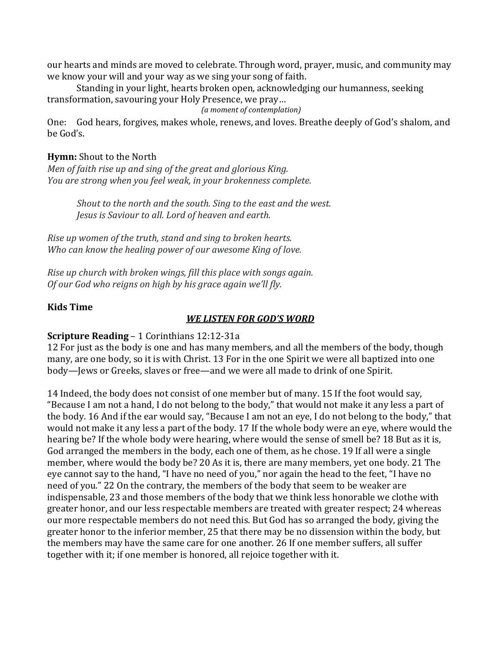our hearts and minds are moved to celebrate. Through word, prayer, music, and community may we know your will and your way as we sing your song of faith.

Standing in your light, hearts broken open, acknowledging our humanness, seeking transformation, savouring your Holy Presence, we pray…

*(a moment of contemplation)*

One: God hears, forgives, makes whole, renews, and loves. Breathe deeply of God's shalom, and be God's.

## **Hymn:** Shout to the North

*Men of faith rise up and sing of the great and glorious King. You are strong when you feel weak, in your brokenness complete.*

> *Shout to the north and the south. Sing to the east and the west. Jesus is Saviour to all. Lord of heaven and earth.*

*Rise up women of the truth, stand and sing to broken hearts. Who can know the healing power of our awesome King of love.*

*Rise up church with broken wings, fill this place with songs again. Of our God who reigns on high by his grace again we'll fly.*

## **Kids Time**

### *WE LISTEN FOR GOD'S WORD*

### **Scripture Reading** – 1 Corinthians 12:12-31a

12 For just as the body is one and has many members, and all the members of the body, though many, are one body, so it is with Christ. 13 For in the one Spirit we were all baptized into one body—Jews or Greeks, slaves or free—and we were all made to drink of one Spirit.

14 Indeed, the body does not consist of one member but of many. 15 If the foot would say, "Because I am not a hand, I do not belong to the body," that would not make it any less a part of the body. 16 And if the ear would say, "Because I am not an eye, I do not belong to the body," that would not make it any less a part of the body. 17 If the whole body were an eye, where would the hearing be? If the whole body were hearing, where would the sense of smell be? 18 But as it is, God arranged the members in the body, each one of them, as he chose. 19 If all were a single member, where would the body be? 20 As it is, there are many members, yet one body. 21 The eye cannot say to the hand, "I have no need of you," nor again the head to the feet, "I have no need of you." 22 On the contrary, the members of the body that seem to be weaker are indispensable, 23 and those members of the body that we think less honorable we clothe with greater honor, and our less respectable members are treated with greater respect; 24 whereas our more respectable members do not need this. But God has so arranged the body, giving the greater honor to the inferior member, 25 that there may be no dissension within the body, but the members may have the same care for one another. 26 If one member suffers, all suffer together with it; if one member is honored, all rejoice together with it.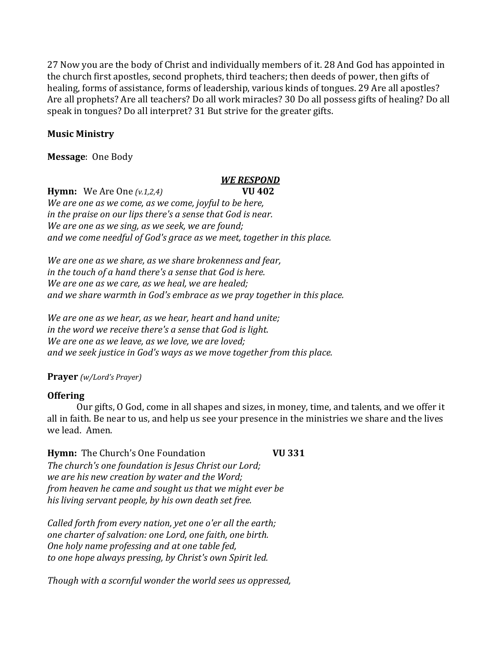27 Now you are the body of Christ and individually members of it. 28 And God has appointed in the church first apostles, second prophets, third teachers; then deeds of power, then gifts of healing, forms of assistance, forms of leadership, various kinds of tongues. 29 Are all apostles? Are all prophets? Are all teachers? Do all work miracles? 30 Do all possess gifts of healing? Do all speak in tongues? Do all interpret? 31 But strive for the greater gifts.

## **Music Ministry**

**Message**: One Body

# *WE RESPOND*

**Hymn:** We Are One (*v.1,2,4*) **VU 402** 

*We are one as we come, as we come, joyful to be here, in the praise on our lips there's a sense that God is near. We are one as we sing, as we seek, we are found; and we come needful of God's grace as we meet, together in this place.*

*We are one as we share, as we share brokenness and fear, in the touch of a hand there's a sense that God is here. We are one as we care, as we heal, we are healed; and we share warmth in God's embrace as we pray together in this place.*

*We are one as we hear, as we hear, heart and hand unite; in the word we receive there's a sense that God is light. We are one as we leave, as we love, we are loved; and we seek justice in God's ways as we move together from this place.*

### **Prayer** *(w/Lord's Prayer)*

### **Offering**

Our gifts, O God, come in all shapes and sizes, in money, time, and talents, and we offer it all in faith. Be near to us, and help us see your presence in the ministries we share and the lives we lead. Amen.

**Hymn:** The Church's One Foundation **VU 331** *The church's one foundation is Jesus Christ our Lord; we are his new creation by water and the Word; from heaven he came and sought us that we might ever be his living servant people, by his own death set free.*

*Called forth from every nation, yet one o'er all the earth; one charter of salvation: one Lord, one faith, one birth. One holy name professing and at one table fed, to one hope always pressing, by Christ's own Spirit led.*

*Though with a scornful wonder the world sees us oppressed,*